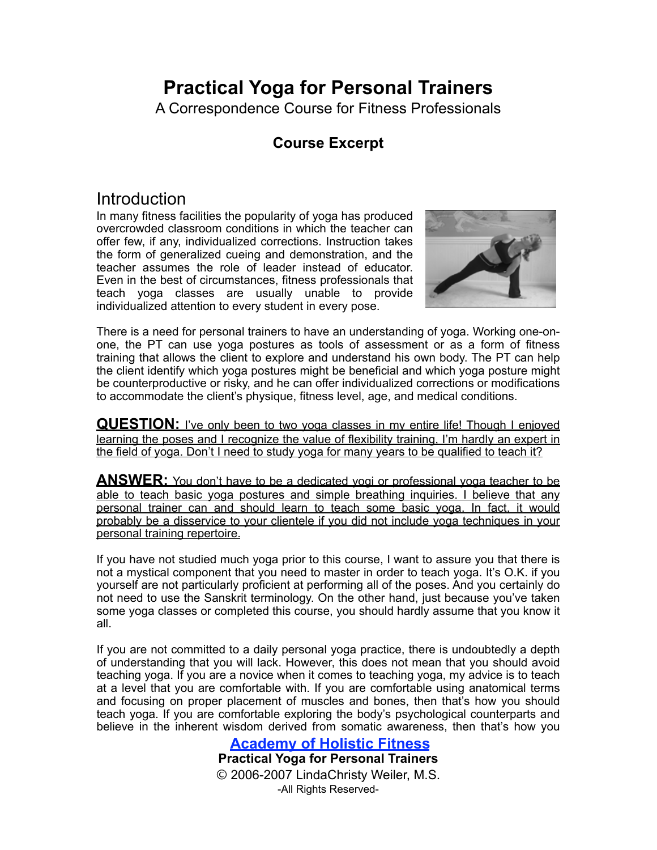## **Practical Yoga for Personal Trainers**

A Correspondence Course for Fitness Professionals

## **Course Excerpt**

## **Introduction**

In many fitness facilities the popularity of yoga has produced overcrowded classroom conditions in which the teacher can offer few, if any, individualized corrections. Instruction takes the form of generalized cueing and demonstration, and the teacher assumes the role of leader instead of educator. Even in the best of circumstances, fitness professionals that teach yoga classes are usually unable to provide individualized attention to every student in every pose.



There is a need for personal trainers to have an understanding of yoga. Working one-onone, the PT can use yoga postures as tools of assessment or as a form of fitness training that allows the client to explore and understand his own body. The PT can help the client identify which yoga postures might be beneficial and which yoga posture might be counterproductive or risky, and he can offer individualized corrections or modifications to accommodate the client's physique, fitness level, age, and medical conditions.

**QUESTION:** I've only been to two yoga classes in my entire life! Though I enjoyed learning the poses and I recognize the value of flexibility training, I'm hardly an expert in the field of yoga. Don't I need to study yoga for many years to be qualified to teach it?

**ANSWER:** You don't have to be a dedicated yogi or professional yoga teacher to be able to teach basic yoga postures and simple breathing inquiries. I believe that any personal trainer can and should learn to teach some basic yoga. In fact, it would probably be a disservice to your clientele if you did not include yoga techniques in your personal training repertoire.

If you have not studied much yoga prior to this course, I want to assure you that there is not a mystical component that you need to master in order to teach yoga. It's O.K. if you yourself are not particularly proficient at performing all of the poses. And you certainly do not need to use the Sanskrit terminology. On the other hand, just because you've taken some yoga classes or completed this course, you should hardly assume that you know it all.

If you are not committed to a daily personal yoga practice, there is undoubtedly a depth of understanding that you will lack. However, this does not mean that you should avoid teaching yoga. If you are a novice when it comes to teaching yoga, my advice is to teach at a level that you are comfortable with. If you are comfortable using anatomical terms and focusing on proper placement of muscles and bones, then that's how you should teach yoga. If you are comfortable exploring the body's psychological counterparts and believe in the inherent wisdom derived from somatic awareness, then that's how you

**Academy of Holistic Fitness**

**Practical Yoga for Personal Trainers** © 2006-2007 LindaChristy Weiler, M.S. -All Rights Reserved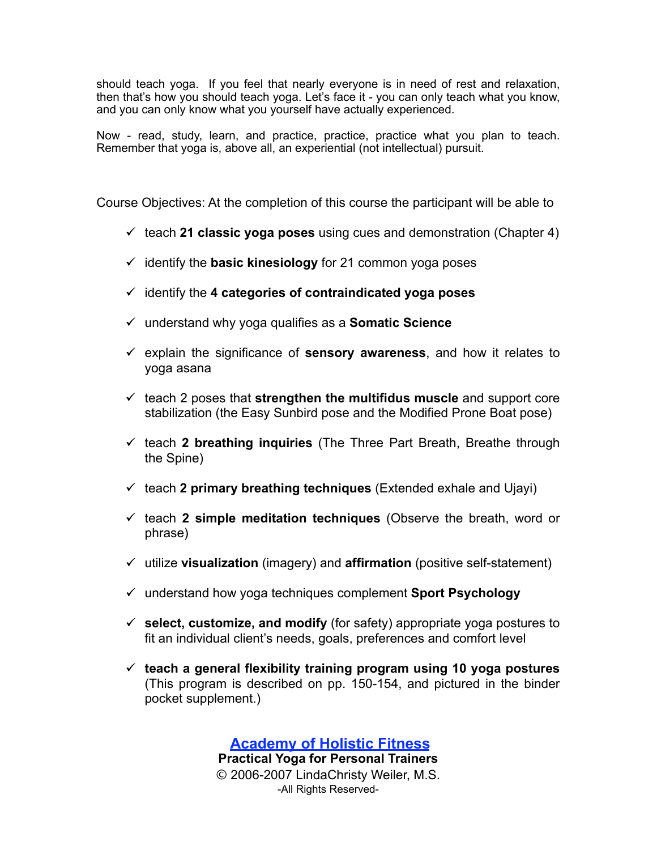should teach yoga. If you feel that nearly everyone is in need of rest and relaxation, then that's how you should teach yoga. Let's face it - you can only teach what you know, and you can only know what you yourself have actually experienced.

Now - read, study, learn, and practice, practice, practice what you plan to teach. Remember that yoga is, above all, an experiential (not intellectual) pursuit.

Course Objectives: At the completion of this course the participant will be able to

- $\checkmark$  teach 21 classic yoga poses using cues and demonstration (Chapter 4)
- $\checkmark$  identify the **basic kinesiology** for 21 common yoga poses
- identify the **4 categories of contraindicated yoga poses**
- understand why yoga qualifies as a **Somatic Science**
- $\checkmark$  explain the significance of **sensory awareness**, and how it relates to yoga asana
- $\checkmark$  teach 2 poses that **strengthen the multifidus muscle** and support core stabilization (the Easy Sunbird pose and the Modified Prone Boat pose)
- $\checkmark$  teach 2 **breathing inquiries** (The Three Part Breath, Breathe through the Spine)
- $\checkmark$  teach 2 primary breathing techniques (Extended exhale and Ujayi)
- $\checkmark$  teach 2 simple meditation techniques (Observe the breath, word or phrase)
- utilize **visualization** (imagery) and **affirmation** (positive self-statement)
- understand how yoga techniques complement **Sport Psychology**
- **select, customize, and modify** (for safety) appropriate yoga postures to fit an individual client's needs, goals, preferences and comfort level
- **teach a general flexibility training program using 10 yoga postures** (This program is described on pp. 150-154, and pictured in the binder pocket supplement.)

**Academy of Holistic Fitness Practical Yoga for Personal Trainers** © 2006-2007 LindaChristy Weiler, M.S. -All Rights Reserved-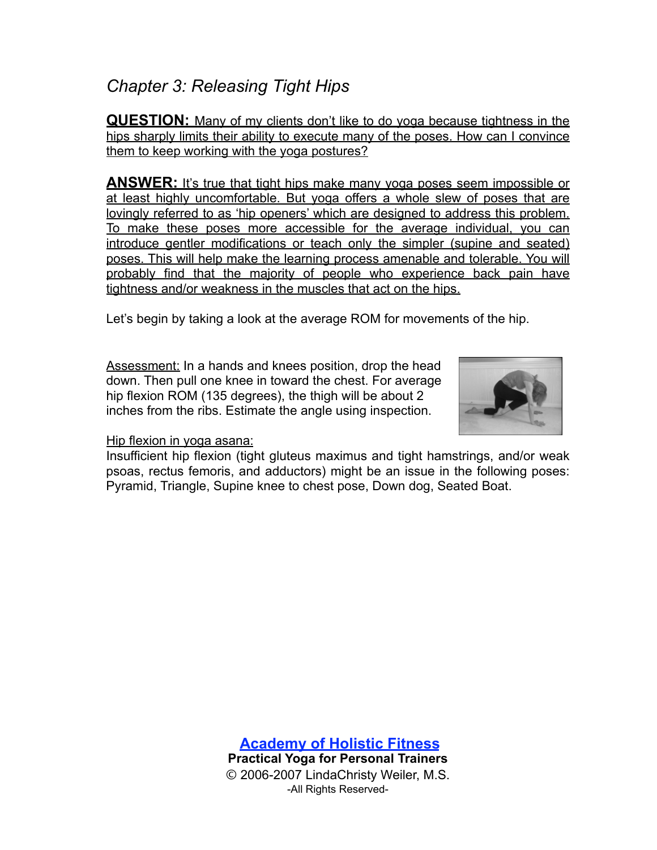## *Chapter 3: Releasing Tight Hips*

**QUESTION:** Many of my clients don't like to do yoga because tightness in the hips sharply limits their ability to execute many of the poses. How can I convince them to keep working with the yoga postures?

**ANSWER:** It's true that tight hips make many yoga poses seem impossible or at least highly uncomfortable. But yoga offers a whole slew of poses that are lovingly referred to as 'hip openers' which are designed to address this problem. To make these poses more accessible for the average individual, you can introduce gentler modifications or teach only the simpler (supine and seated) poses. This will help make the learning process amenable and tolerable. You will probably find that the majority of people who experience back pain have tightness and/or weakness in the muscles that act on the hips.

Let's begin by taking a look at the average ROM for movements of the hip.

Assessment: In a hands and knees position, drop the head down. Then pull one knee in toward the chest. For average hip flexion ROM (135 degrees), the thigh will be about 2 inches from the ribs. Estimate the angle using inspection.



Hip flexion in yoga asana:

Insufficient hip flexion (tight gluteus maximus and tight hamstrings, and/or weak psoas, rectus femoris, and adductors) might be an issue in the following poses: Pyramid, Triangle, Supine knee to chest pose, Down dog, Seated Boat.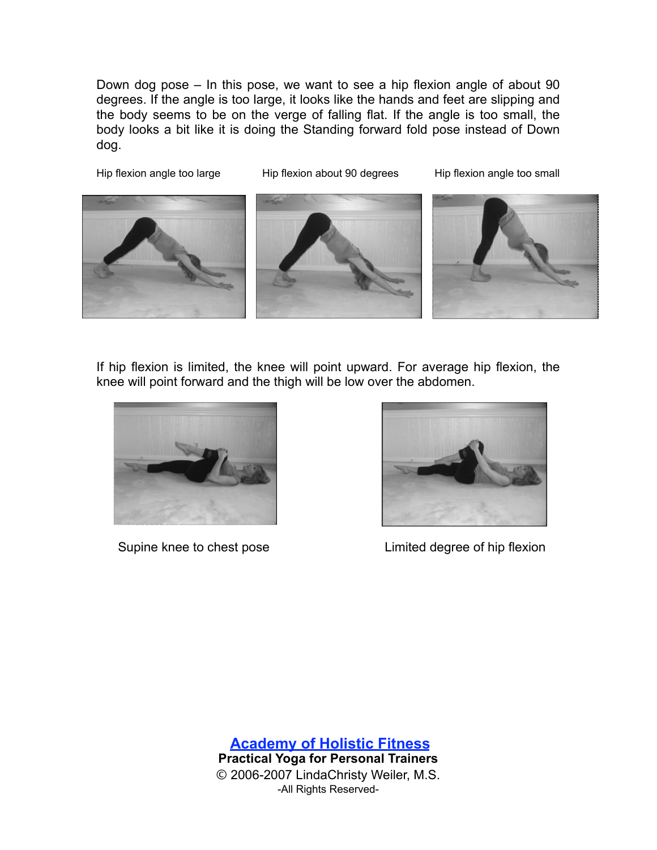Down dog pose – In this pose, we want to see a hip flexion angle of about 90 degrees. If the angle is too large, it looks like the hands and feet are slipping and the body seems to be on the verge of falling flat. If the angle is too small, the body looks a bit like it is doing the Standing forward fold pose instead of Down dog.

Hip flexion angle too large Hip flexion about 90 degrees Hip flexion angle too small



If hip flexion is limited, the knee will point upward. For average hip flexion, the knee will point forward and the thigh will be low over the abdomen.





Supine knee to chest pose **Limited degree of hip flexion**